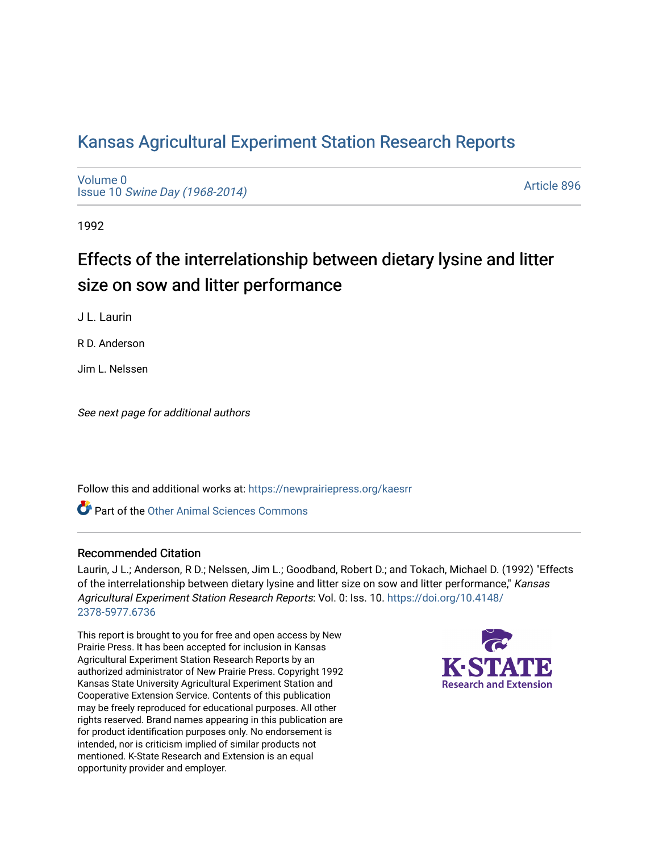# [Kansas Agricultural Experiment Station Research Reports](https://newprairiepress.org/kaesrr)

[Volume 0](https://newprairiepress.org/kaesrr/vol0) Issue 10 [Swine Day \(1968-2014\)](https://newprairiepress.org/kaesrr/vol0/iss10)

[Article 896](https://newprairiepress.org/kaesrr/vol0/iss10/896) 

1992

# Effects of the interrelationship between dietary lysine and litter size on sow and litter performance

J L. Laurin

R D. Anderson

Jim L. Nelssen

See next page for additional authors

Follow this and additional works at: [https://newprairiepress.org/kaesrr](https://newprairiepress.org/kaesrr?utm_source=newprairiepress.org%2Fkaesrr%2Fvol0%2Fiss10%2F896&utm_medium=PDF&utm_campaign=PDFCoverPages) 

Part of the [Other Animal Sciences Commons](http://network.bepress.com/hgg/discipline/82?utm_source=newprairiepress.org%2Fkaesrr%2Fvol0%2Fiss10%2F896&utm_medium=PDF&utm_campaign=PDFCoverPages)

#### Recommended Citation

Laurin, J L.; Anderson, R D.; Nelssen, Jim L.; Goodband, Robert D.; and Tokach, Michael D. (1992) "Effects of the interrelationship between dietary lysine and litter size on sow and litter performance," Kansas Agricultural Experiment Station Research Reports: Vol. 0: Iss. 10. [https://doi.org/10.4148/](https://doi.org/10.4148/2378-5977.6736) [2378-5977.6736](https://doi.org/10.4148/2378-5977.6736) 

This report is brought to you for free and open access by New Prairie Press. It has been accepted for inclusion in Kansas Agricultural Experiment Station Research Reports by an authorized administrator of New Prairie Press. Copyright 1992 Kansas State University Agricultural Experiment Station and Cooperative Extension Service. Contents of this publication may be freely reproduced for educational purposes. All other rights reserved. Brand names appearing in this publication are for product identification purposes only. No endorsement is intended, nor is criticism implied of similar products not mentioned. K-State Research and Extension is an equal opportunity provider and employer.

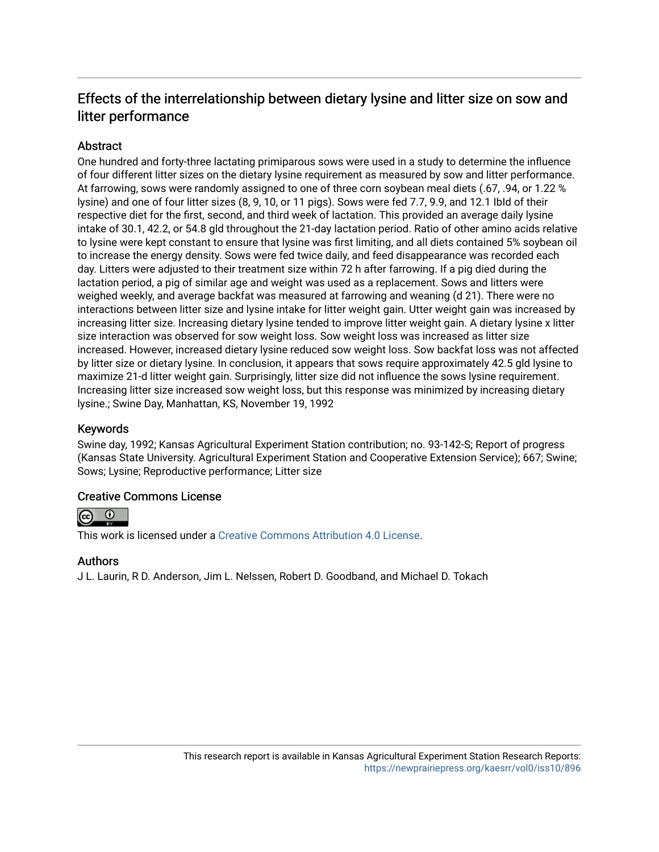## Effects of the interrelationship between dietary lysine and litter size on sow and litter performance

## **Abstract**

One hundred and forty-three lactating primiparous sows were used in a study to determine the influence of four different litter sizes on the dietary lysine requirement as measured by sow and litter performance. At farrowing, sows were randomly assigned to one of three corn soybean meal diets (.67, .94, or 1.22 % lysine) and one of four litter sizes (8, 9, 10, or 11 pigs). Sows were fed 7.7, 9.9, and 12.1 IbId of their respective diet for the first, second, and third week of lactation. This provided an average daily lysine intake of 30.1, 42.2, or 54.8 gld throughout the 21-day lactation period. Ratio of other amino acids relative to lysine were kept constant to ensure that lysine was first limiting, and all diets contained 5% soybean oil to increase the energy density. Sows were fed twice daily, and feed disappearance was recorded each day. Litters were adjusted to their treatment size within 72 h after farrowing. If a pig died during the lactation period, a pig of similar age and weight was used as a replacement. Sows and litters were weighed weekly, and average backfat was measured at farrowing and weaning (d 21). There were no interactions between litter size and lysine intake for litter weight gain. Utter weight gain was increased by increasing litter size. Increasing dietary lysine tended to improve litter weight gain. A dietary lysine x litter size interaction was observed for sow weight loss. Sow weight loss was increased as litter size increased. However, increased dietary lysine reduced sow weight loss. Sow backfat loss was not affected by litter size or dietary lysine. In conclusion, it appears that sows require approximately 42.5 gld lysine to maximize 21-d litter weight gain. Surprisingly, litter size did not influence the sows lysine requirement. Increasing litter size increased sow weight loss, but this response was minimized by increasing dietary lysine.; Swine Day, Manhattan, KS, November 19, 1992

#### Keywords

Swine day, 1992; Kansas Agricultural Experiment Station contribution; no. 93-142-S; Report of progress (Kansas State University. Agricultural Experiment Station and Cooperative Extension Service); 667; Swine; Sows; Lysine; Reproductive performance; Litter size

#### Creative Commons License



This work is licensed under a [Creative Commons Attribution 4.0 License](https://creativecommons.org/licenses/by/4.0/).

#### Authors

J L. Laurin, R D. Anderson, Jim L. Nelssen, Robert D. Goodband, and Michael D. Tokach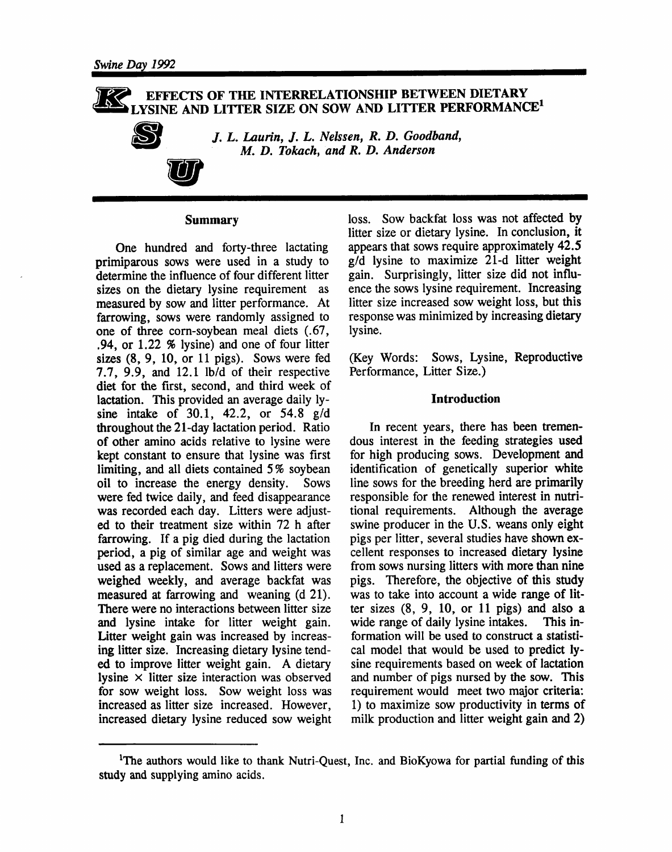### EFFECTS OF THE INTERRELATIONSHIP BETWEEN DIETARY LYSINE AND LITTER SIZE ON SOW AND LITTER PERFORMANCE<sup>1</sup>



J. L. Laurin, J. L. Nelssen, R. D. Goodband, M. D. Tokach, and R. D. Anderson

#### **Summary**

One hundred and forty-three lactating primiparous sows were used in a study to determine the influence of four different litter sizes on the dietary lysine requirement as measured by sow and litter performance. At farrowing, sows were randomly assigned to one of three corn-soybean meal diets (.67, .94, or  $1.22 \times$  lysine) and one of four litter sizes  $(8, 9, 10, or 11$  pigs). Sows were fed 7.7, 9.9, and 12.1 lb/d of their respective diet for the first, second, and third week of lactation. This provided an average daily lysine intake of 30.1, 42.2, or 54.8  $g/d$ throughout the 21-day lactation period. Ratio of other amino acids relative to lysine were kept constant to ensure that lysine was first limiting, and all diets contained 5% soybean oil to increase the energy density. Sows were fed twice daily, and feed disappearance was recorded each day. Litters were adjusted to their treatment size within 72 h after farrowing. If a pig died during the lactation period, a pig of similar age and weight was used as a replacement. Sows and litters were weighed weekly, and average backfat was measured at farrowing and weaning (d 21). There were no interactions between litter size and lysine intake for litter weight gain. Litter weight gain was increased by increasing litter size. Increasing dietary lysine tended to improve litter weight gain. A dietary lysine  $\times$  litter size interaction was observed for sow weight loss. Sow weight loss was increased as litter size increased. However, increased dietary lysine reduced sow weight loss. Sow backfat loss was not affected by litter size or dietary lysine. In conclusion, it appears that sows require approximately 42.5  $g/d$  lysine to maximize 21-d litter weight gain. Surprisingly, litter size did not influence the sows lysine requirement. Increasing litter size increased sow weight loss, but this response was minimized by increasing dietary lysine.

(Key Words: Sows, Lysine, Reproductive Performance, Litter Size.)

#### **Introduction**

In recent years, there has been tremendous interest in the feeding strategies used for high producing sows. Development and identification of genetically superior white line sows for the breeding herd are primarily responsible for the renewed interest in nutritional requirements. Although the average swine producer in the U.S. weans only eight pigs per litter, several studies have shown excellent responses to increased dietary lysine from sows nursing litters with more than nine pigs. Therefore, the objective of this study was to take into account a wide range of litter sizes  $(8, 9, 10, or 11$  pigs) and also a wide range of daily lysine intakes. This information will be used to construct a statistical model that would be used to predict lysine requirements based on week of lactation and number of pigs nursed by the sow. This requirement would meet two major criteria: 1) to maximize sow productivity in terms of milk production and litter weight gain and 2)

<sup>&</sup>lt;sup>1</sup>The authors would like to thank Nutri-Quest, Inc. and BioKyowa for partial funding of this study and supplying amino acids.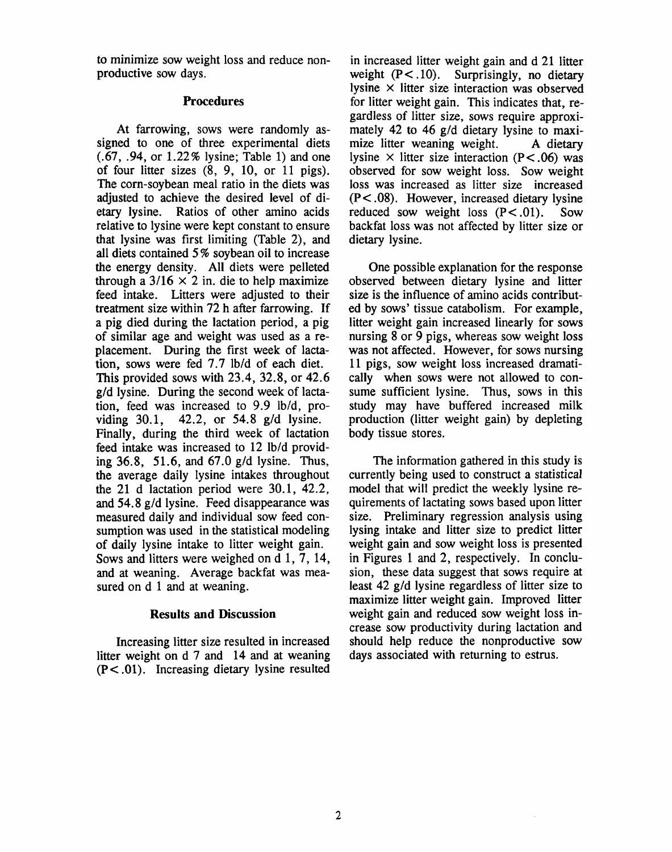to minimize sow weight loss and reduce nonproductive sow days.

#### **Procedures**

At farrowing, sows were randomly assigned to one of three experimental diets  $(.67, .94,$  or  $1.22\%$  lysine; Table 1) and one of four litter sizes  $(8, 9, 10, or 11 \text{ pigs})$ . The corn-sovbean meal ratio in the diets was adjusted to achieve the desired level of dietary lysine. Ratios of other amino acids relative to lysine were kept constant to ensure that lysine was first limiting (Table 2), and all diets contained 5% soybean oil to increase the energy density. All diets were pelleted through a  $3/16 \times 2$  in. die to help maximize feed intake. Litters were adjusted to their treatment size within 72 h after farrowing. If a pig died during the lactation period, a pig of similar age and weight was used as a replacement. During the first week of lactation, sows were fed 7.7 lb/d of each diet. This provided sows with  $23.4$ ,  $32.8$ , or  $42.6$ g/d lysine. During the second week of lactation, feed was increased to 9.9 lb/d, providing  $30.1$ ,  $42.2$ , or  $54.8$  g/d lysine. Finally, during the third week of lactation feed intake was increased to 12 lb/d providing 36.8, 51.6, and 67.0 g/d lysine. Thus, the average daily lysine intakes throughout the 21 d lactation period were  $30.1$ ,  $42.2$ , and 54.8 g/d lysine. Feed disappearance was measured daily and individual sow feed consumption was used in the statistical modeling of daily lysine intake to litter weight gain. Sows and litters were weighed on d 1, 7, 14, and at weaning. Average backfat was measured on d 1 and at weaning.

#### **Results and Discussion**

Increasing litter size resulted in increased litter weight on d 7 and 14 and at weaning  $(P<.01)$ . Increasing dietary lysine resulted

in increased litter weight gain and d 21 litter weight  $(P<.10)$ . Surprisingly, no dietary lysine  $\times$  litter size interaction was observed for litter weight gain. This indicates that, regardless of litter size, sows require approximately 42 to 46 g/d dietary lysine to maximize litter weaning weight. A dietary lysine  $\times$  litter size interaction (P<.06) was observed for sow weight loss. Sow weight loss was increased as litter size increased  $(P<.08)$ . However, increased dietary lysine reduced sow weight loss  $(P < .01)$ . Sow backfat loss was not affected by litter size or dietary lysine.

One possible explanation for the response observed between dietary lysine and litter size is the influence of amino acids contributed by sows' tissue catabolism. For example, litter weight gain increased linearly for sows nursing 8 or 9 pigs, whereas sow weight loss was not affected. However, for sows nursing 11 pigs, sow weight loss increased dramatically when sows were not allowed to consume sufficient lysine. Thus, sows in this study may have buffered increased milk production (litter weight gain) by depleting body tissue stores.

The information gathered in this study is currently being used to construct a statistical model that will predict the weekly lysine requirements of lactating sows based upon litter size. Preliminary regression analysis using lysing intake and litter size to predict litter weight gain and sow weight loss is presented in Figures 1 and 2, respectively. In conclusion, these data suggest that sows require at least 42 g/d lysine regardless of litter size to maximize litter weight gain. Improved litter weight gain and reduced sow weight loss increase sow productivity during lactation and should help reduce the nonproductive sow days associated with returning to estrus.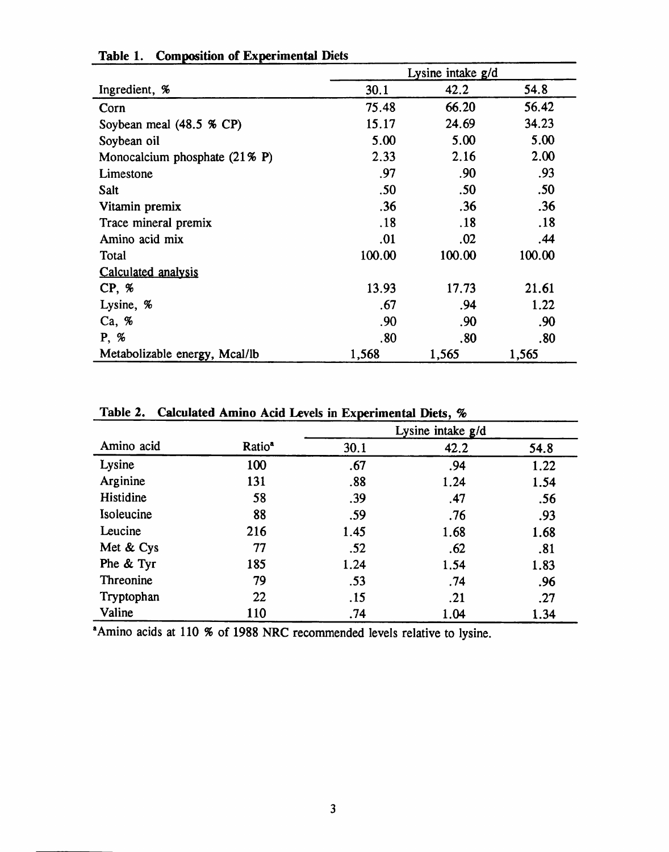|                                          | Lysine intake g/d |        |        |  |  |
|------------------------------------------|-------------------|--------|--------|--|--|
| Ingredient, %                            | 30.1              | 42.2   | 54.8   |  |  |
| Corn                                     | 75.48             | 66.20  | 56.42  |  |  |
| Soybean meal (48.5 % CP)                 | 15.17             | 24.69  | 34.23  |  |  |
| Soybean oil                              | 5.00              | 5.00   | 5.00   |  |  |
| Monocalcium phosphate $(21\% \text{ P})$ | 2.33              | 2.16   | 2.00   |  |  |
| Limestone                                | .97               | .90    | .93    |  |  |
| Salt                                     | .50               | .50    | .50    |  |  |
| Vitamin premix                           | .36               | .36    | .36    |  |  |
| Trace mineral premix                     | .18               | .18    | .18    |  |  |
| Amino acid mix                           | .01               | .02    | .44    |  |  |
| Total                                    | 100.00            | 100.00 | 100.00 |  |  |
| Calculated analysis                      |                   |        |        |  |  |
| CP, %                                    | 13.93             | 17.73  | 21.61  |  |  |
| Lysine, %                                | .67               | .94    | 1.22   |  |  |
| Ca, %                                    | .90               | .90    | .90    |  |  |
| P, %                                     | .80               | .80    | .80    |  |  |
| Metabolizable energy, Mcal/lb            | 1,568             | 1,565  | 1,565  |  |  |

## Table 1. Composition of Experimental Diets

| Amino acid |                    | Lysine intake g/d |      |      |  |  |  |
|------------|--------------------|-------------------|------|------|--|--|--|
|            | Ratio <sup>a</sup> | 30.1              | 42.2 | 54.8 |  |  |  |
| Lysine     | 100                | .67               | .94  | 1.22 |  |  |  |
| Arginine   | 131                | .88               | 1.24 | 1.54 |  |  |  |
| Histidine  | 58                 | .39               | .47  | .56  |  |  |  |
| Isoleucine | 88                 | .59               | .76  | .93  |  |  |  |
| Leucine    | 216                | 1.45              | 1.68 | 1.68 |  |  |  |
| Met & Cys  | 77                 | .52               | .62  | .81  |  |  |  |
| Phe & Tyr  | 185                | 1.24              | 1.54 | 1.83 |  |  |  |
| Threonine  | 79                 | .53               | .74  | .96  |  |  |  |
| Tryptophan | 22                 | .15               | .21  | .27  |  |  |  |
| Valine     | 110                | .74               | 1.04 | 1.34 |  |  |  |

## Table 2. Calculated Amino Acid Levels in Experimental Diets, %

<sup>a</sup>Amino acids at 110 % of 1988 NRC recommended levels relative to lysine.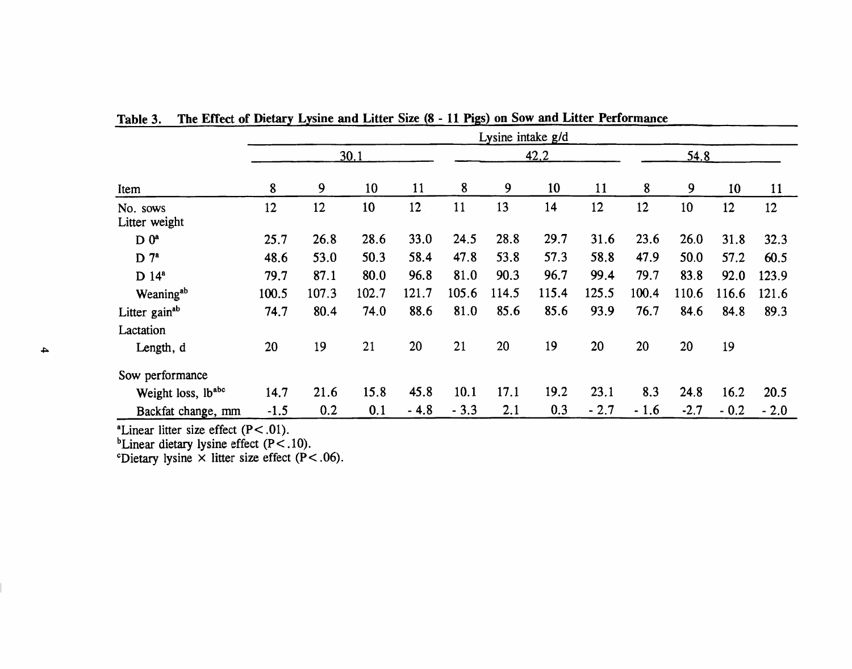|                           | Lysine intake g/d |       |       |        |        |       |       |        |        |        |        |        |
|---------------------------|-------------------|-------|-------|--------|--------|-------|-------|--------|--------|--------|--------|--------|
|                           | 30.1              |       |       |        | 42.2   |       |       | 54.8   |        |        |        |        |
| Item                      | 8                 | 9     | 10    | 11     | 8      | 9     | 10    | 11     | 8      | 9      | 10     | 11     |
| No. sows<br>Litter weight | 12                | 12    | 10    | 12     | 11     | 13    | 14    | 12     | 12     | 10     | 12     | 12     |
| D 0 <sup>a</sup>          | 25.7              | 26.8  | 28.6  | 33.0   | 24.5   | 28.8  | 29.7  | 31.6   | 23.6   | 26.0   | 31.8   | 32.3   |
| $D^7$                     | 48.6              | 53.0  | 50.3  | 58.4   | 47.8   | 53.8  | 57.3  | 58.8   | 47.9   | 50.0   | 57.2   | 60.5   |
| $D$ 14 <sup>a</sup>       | 79.7              | 87.1  | 80.0  | 96.8   | 81.0   | 90.3  | 96.7  | 99.4   | 79.7   | 83.8   | 92.0   | 123.9  |
| Weaning <sup>ab</sup>     | 100.5             | 107.3 | 102.7 | 121.7  | 105.6  | 114.5 | 115.4 | 125.5  | 100.4  | 110.6  | 116.6  | 121.6  |
| Litter gain <sup>ab</sup> | 74.7              | 80.4  | 74.0  | 88.6   | 81.0   | 85.6  | 85.6  | 93.9   | 76.7   | 84.6   | 84.8   | 89.3   |
| Lactation                 |                   |       |       |        |        |       |       |        |        |        |        |        |
| Length, d                 | 20                | 19    | 21    | 20     | 21     | 20    | 19    | 20     | 20     | 20     | 19     |        |
| Sow performance           |                   |       |       |        |        |       |       |        |        |        |        |        |
| Weight loss, lbabc        | 14.7              | 21.6  | 15.8  | 45.8   | 10.1   | 17.1  | 19.2  | 23.1   | 8.3    | 24.8   | 16.2   | 20.5   |
| Backfat change, mm        | $-1.5$            | 0.2   | 0.1   | $-4.8$ | $-3.3$ | 2.1   | 0.3   | $-2.7$ | $-1.6$ | $-2.7$ | $-0.2$ | $-2.0$ |

The Effect of Dietary Lysine and Litter Size (8 - 11 Pigs) on Sow and Litter Performance Table 3.

<sup>a</sup>Linear litter size effect (P<.01).<br>
<sup>b</sup>Linear dietary lysine effect (P<.10).<br>
<sup>c</sup>Dietary lysine × litter size effect (P<.06).